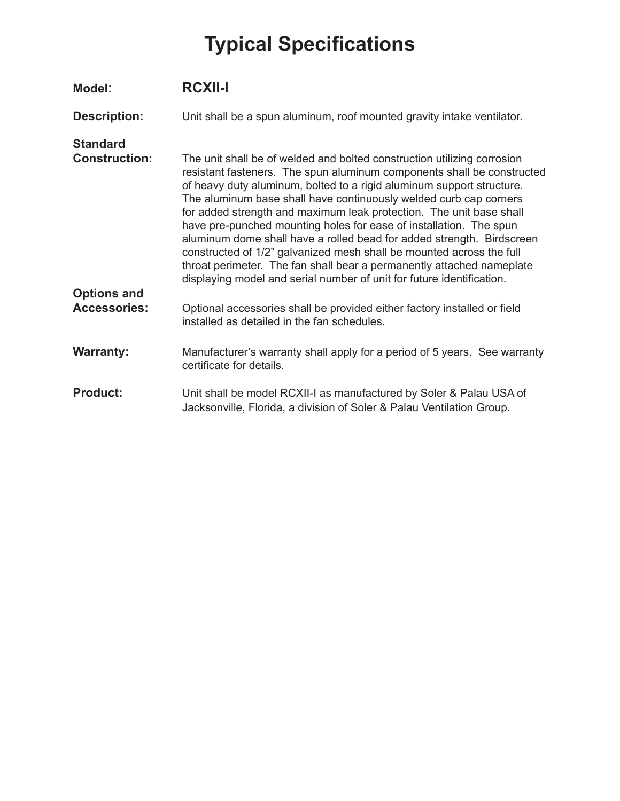| Model:                                    | <b>RCXII-I</b>                                                                                                                                                                                                                                                                                                                                                                                                                                                                                                                                                                                                                                                                                                                                  |
|-------------------------------------------|-------------------------------------------------------------------------------------------------------------------------------------------------------------------------------------------------------------------------------------------------------------------------------------------------------------------------------------------------------------------------------------------------------------------------------------------------------------------------------------------------------------------------------------------------------------------------------------------------------------------------------------------------------------------------------------------------------------------------------------------------|
| <b>Description:</b>                       | Unit shall be a spun aluminum, roof mounted gravity intake ventilator.                                                                                                                                                                                                                                                                                                                                                                                                                                                                                                                                                                                                                                                                          |
| <b>Standard</b><br><b>Construction:</b>   | The unit shall be of welded and bolted construction utilizing corrosion<br>resistant fasteners. The spun aluminum components shall be constructed<br>of heavy duty aluminum, bolted to a rigid aluminum support structure.<br>The aluminum base shall have continuously welded curb cap corners<br>for added strength and maximum leak protection. The unit base shall<br>have pre-punched mounting holes for ease of installation. The spun<br>aluminum dome shall have a rolled bead for added strength. Birdscreen<br>constructed of 1/2" galvanized mesh shall be mounted across the full<br>throat perimeter. The fan shall bear a permanently attached nameplate<br>displaying model and serial number of unit for future identification. |
| <b>Options and</b><br><b>Accessories:</b> | Optional accessories shall be provided either factory installed or field<br>installed as detailed in the fan schedules.                                                                                                                                                                                                                                                                                                                                                                                                                                                                                                                                                                                                                         |
| <b>Warranty:</b>                          | Manufacturer's warranty shall apply for a period of 5 years. See warranty<br>certificate for details.                                                                                                                                                                                                                                                                                                                                                                                                                                                                                                                                                                                                                                           |
| <b>Product:</b>                           | Unit shall be model RCXII-I as manufactured by Soler & Palau USA of<br>Jacksonville, Florida, a division of Soler & Palau Ventilation Group.                                                                                                                                                                                                                                                                                                                                                                                                                                                                                                                                                                                                    |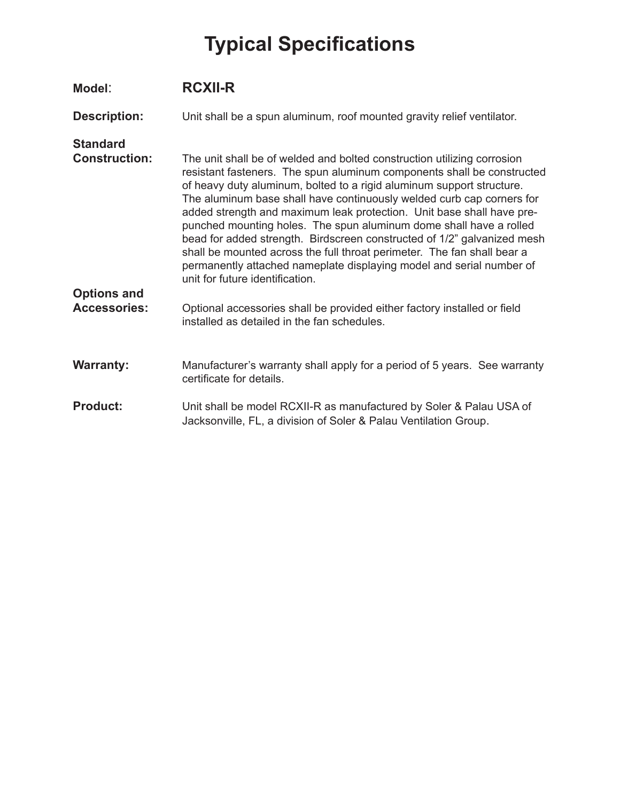| Model:                                    | <b>RCXII-R</b>                                                                                                                                                                                                                                                                                                                                                                                                                                                                                                                                                                                                                                                                                                      |
|-------------------------------------------|---------------------------------------------------------------------------------------------------------------------------------------------------------------------------------------------------------------------------------------------------------------------------------------------------------------------------------------------------------------------------------------------------------------------------------------------------------------------------------------------------------------------------------------------------------------------------------------------------------------------------------------------------------------------------------------------------------------------|
| <b>Description:</b>                       | Unit shall be a spun aluminum, roof mounted gravity relief ventilator.                                                                                                                                                                                                                                                                                                                                                                                                                                                                                                                                                                                                                                              |
| <b>Standard</b><br><b>Construction:</b>   | The unit shall be of welded and bolted construction utilizing corrosion<br>resistant fasteners. The spun aluminum components shall be constructed<br>of heavy duty aluminum, bolted to a rigid aluminum support structure.<br>The aluminum base shall have continuously welded curb cap corners for<br>added strength and maximum leak protection. Unit base shall have pre-<br>punched mounting holes. The spun aluminum dome shall have a rolled<br>bead for added strength. Birdscreen constructed of 1/2" galvanized mesh<br>shall be mounted across the full throat perimeter. The fan shall bear a<br>permanently attached nameplate displaying model and serial number of<br>unit for future identification. |
| <b>Options and</b><br><b>Accessories:</b> | Optional accessories shall be provided either factory installed or field<br>installed as detailed in the fan schedules.                                                                                                                                                                                                                                                                                                                                                                                                                                                                                                                                                                                             |
| <b>Warranty:</b>                          | Manufacturer's warranty shall apply for a period of 5 years. See warranty<br>certificate for details.                                                                                                                                                                                                                                                                                                                                                                                                                                                                                                                                                                                                               |
| <b>Product:</b>                           | Unit shall be model RCXII-R as manufactured by Soler & Palau USA of<br>Jacksonville, FL, a division of Soler & Palau Ventilation Group.                                                                                                                                                                                                                                                                                                                                                                                                                                                                                                                                                                             |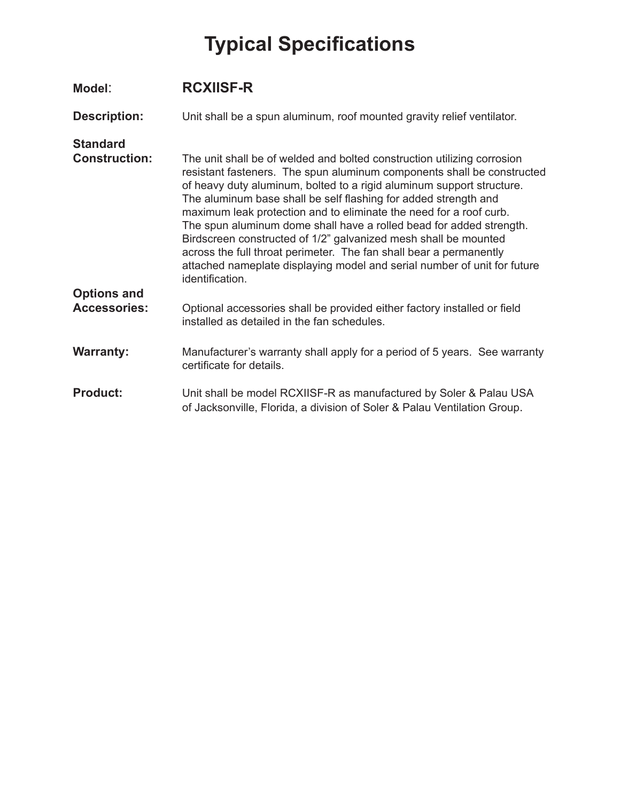| Model:                                  | <b>RCXIISF-R</b>                                                                                                                                                                                                                                                                                                                                                                                                                                                                                                                                                                                                                                                                   |
|-----------------------------------------|------------------------------------------------------------------------------------------------------------------------------------------------------------------------------------------------------------------------------------------------------------------------------------------------------------------------------------------------------------------------------------------------------------------------------------------------------------------------------------------------------------------------------------------------------------------------------------------------------------------------------------------------------------------------------------|
| <b>Description:</b>                     | Unit shall be a spun aluminum, roof mounted gravity relief ventilator.                                                                                                                                                                                                                                                                                                                                                                                                                                                                                                                                                                                                             |
| <b>Standard</b><br><b>Construction:</b> | The unit shall be of welded and bolted construction utilizing corrosion<br>resistant fasteners. The spun aluminum components shall be constructed<br>of heavy duty aluminum, bolted to a rigid aluminum support structure.<br>The aluminum base shall be self flashing for added strength and<br>maximum leak protection and to eliminate the need for a roof curb.<br>The spun aluminum dome shall have a rolled bead for added strength.<br>Birdscreen constructed of 1/2" galvanized mesh shall be mounted<br>across the full throat perimeter. The fan shall bear a permanently<br>attached nameplate displaying model and serial number of unit for future<br>identification. |
| <b>Options and</b>                      |                                                                                                                                                                                                                                                                                                                                                                                                                                                                                                                                                                                                                                                                                    |
| <b>Accessories:</b>                     | Optional accessories shall be provided either factory installed or field<br>installed as detailed in the fan schedules.                                                                                                                                                                                                                                                                                                                                                                                                                                                                                                                                                            |
| <b>Warranty:</b>                        | Manufacturer's warranty shall apply for a period of 5 years. See warranty<br>certificate for details.                                                                                                                                                                                                                                                                                                                                                                                                                                                                                                                                                                              |
| <b>Product:</b>                         | Unit shall be model RCXIISF-R as manufactured by Soler & Palau USA<br>of Jacksonville, Florida, a division of Soler & Palau Ventilation Group.                                                                                                                                                                                                                                                                                                                                                                                                                                                                                                                                     |